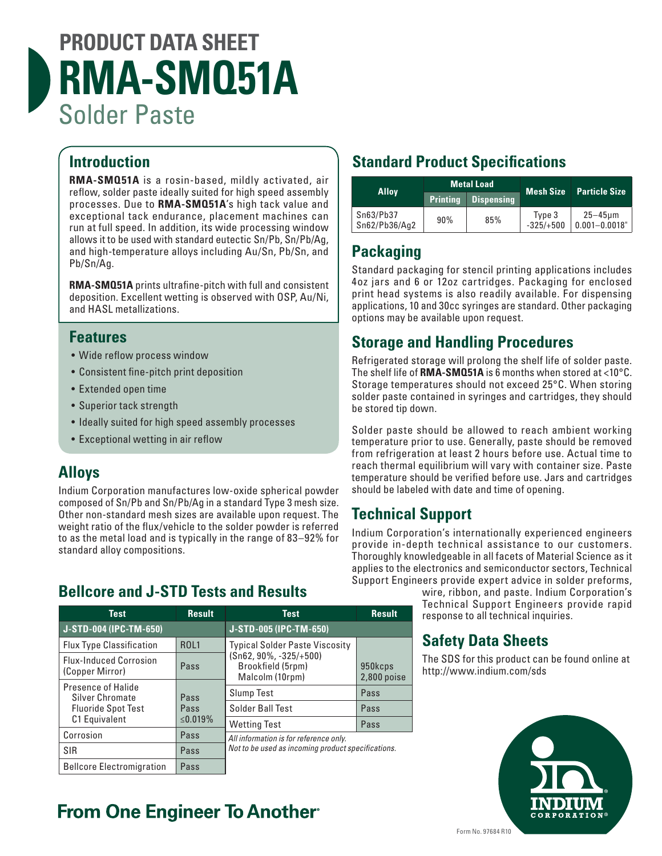# **PRODUCT DATA SHEET RMA-SMQ51A** Solder Paste

### **Introduction**

**RMA-SMQ51A** is a rosin-based, mildly activated, air reflow, solder paste ideally suited for high speed assembly processes. Due to **RMA-SMQ51A**'s high tack value and exceptional tack endurance, placement machines can run at full speed. In addition, its wide processing window allows it to be used with standard eutectic Sn/Pb, Sn/Pb/Ag, and high-temperature alloys including Au/Sn, Pb/Sn, and Pb/Sn/Ag.

**RMA-SMQ51A** prints ultrafine-pitch with full and consistent deposition. Excellent wetting is observed with OSP, Au/Ni, and HASL metallizations.

#### **Features**

- Wide reflow process window
- Consistent fine-pitch print deposition
- Extended open time
- Superior tack strength
- Ideally suited for high speed assembly processes
- Exceptional wetting in air reflow

#### **Alloys**

Indium Corporation manufactures low-oxide spherical powder composed of Sn/Pb and Sn/Pb/Ag in a standard Type 3 mesh size. Other non-standard mesh sizes are available upon request. The weight ratio of the flux/vehicle to the solder powder is referred to as the metal load and is typically in the range of 83–92% for standard alloy compositions.

### **Bellcore and J-STD Tests and Results**

| <b>Test</b>                                      | <b>Result</b> | <b>Test</b>                                                       | <b>Result</b>            |  |
|--------------------------------------------------|---------------|-------------------------------------------------------------------|--------------------------|--|
| J-STD-004 (IPC-TM-650)                           |               | J-STD-005 (IPC-TM-650)                                            |                          |  |
| <b>Flux Type Classification</b>                  | <b>ROL1</b>   | <b>Typical Solder Paste Viscosity</b>                             |                          |  |
| <b>Flux-Induced Corrosion</b><br>(Copper Mirror) | Pass          | $(Sn62, 90\%, -325/+500)$<br>Brookfield (5rpm)<br>Malcolm (10rpm) | 950kcps<br>$2,800$ poise |  |
| Presence of Halide<br><b>Silver Chromate</b>     | Pass          | <b>Slump Test</b>                                                 | Pass                     |  |
| <b>Fluoride Spot Test</b>                        | Pass          | Solder Ball Test                                                  | Pass                     |  |
| C1 Equivalent                                    | ≤0.019%       | <b>Wetting Test</b>                                               | Pass                     |  |
| Corrosion                                        | Pass          | All information is for reference only.                            |                          |  |
| <b>SIR</b>                                       | Pass          | Not to be used as incoming product specifications.                |                          |  |
| <b>Bellcore Electromigration</b>                 | Pass          |                                                                   |                          |  |

## **From One Engineer To Another**

## **Standard Product Specifications**

| <b>Alloy</b>               | <b>Metal Load</b> |                   | Mesh Size             | <b>Particle Size</b>               |
|----------------------------|-------------------|-------------------|-----------------------|------------------------------------|
|                            | <b>Printing</b>   | <b>Dispensing</b> |                       |                                    |
| Sn63/Pb37<br>Sn62/Pb36/Aq2 | 90%               | 85%               | Type 3<br>$-325/+500$ | $25 - 45$ µm<br>$ 0.001 - 0.0018"$ |

#### **Packaging**

Standard packaging for stencil printing applications includes 4oz jars and 6 or 12oz cartridges. Packaging for enclosed print head systems is also readily available. For dispensing applications, 10 and 30cc syringes are standard. Other packaging options may be available upon request.

### **Storage and Handling Procedures**

Refrigerated storage will prolong the shelf life of solder paste. The shelf life of **RMA-SMQ51A** is 6 months when stored at <10°C. Storage temperatures should not exceed 25°C. When storing solder paste contained in syringes and cartridges, they should be stored tip down.

Solder paste should be allowed to reach ambient working temperature prior to use. Generally, paste should be removed from refrigeration at least 2 hours before use. Actual time to reach thermal equilibrium will vary with container size. Paste temperature should be verified before use. Jars and cartridges should be labeled with date and time of opening.

### **Technical Support**

Indium Corporation's internationally experienced engineers provide in-depth technical assistance to our customers. Thoroughly knowledgeable in all facets of Material Science as it applies to the electronics and semiconductor sectors, Technical Support Engineers provide expert advice in solder preforms,

wire, ribbon, and paste. Indium Corporation's Technical Support Engineers provide rapid response to all technical inquiries.

### **Safety Data Sheets**

The SDS for this product can be found online at http://www.indium.com/sds